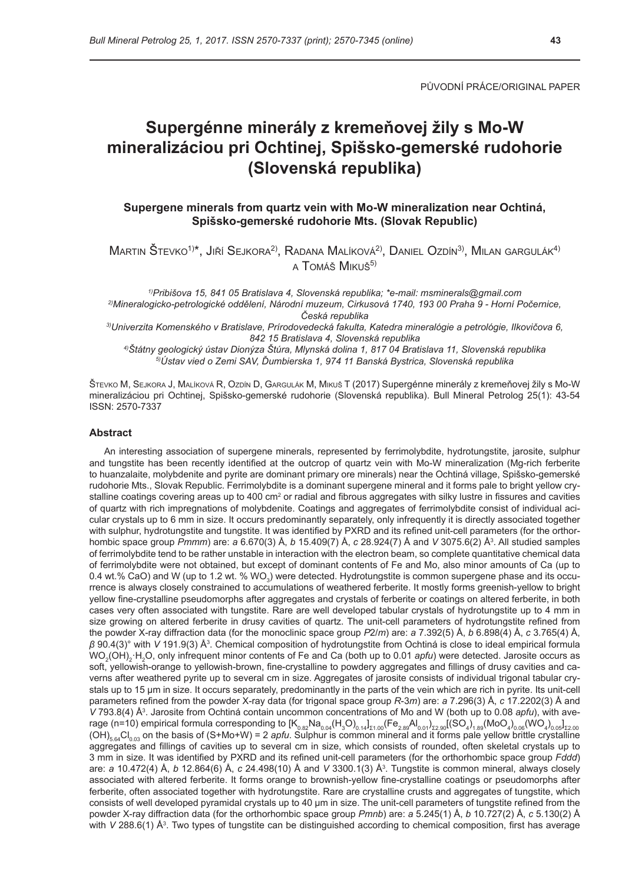## **Supergénne minerály z kremeňovej žily s Mo-W mineralizáciou pri Ochtinej, Spišsko-gemerské rudohorie (Slovenská republika)**

**Supergene minerals from quartz vein with Mo-W mineralization near Ochtiná, Spišsko-gemerské rudohorie Mts. (Slovak Republic)**

Martin Števko<sup>1)\*</sup>, Jiří Sejkora<sup>2)</sup>, Radana Malíková<sup>2)</sup>, Daniel Ozdín<sup>3)</sup>, Milan gargulák<sup>4)</sup> a Tomáš Mikuš<sup>5)</sup>

*1)Pribišova 15, 841 05 Bratislava 4, Slovenská republika; \*e-mail: msminerals@gmail.com 2)Mineralogicko-petrologické oddělení, Národní muzeum, Cirkusová 1740, 193 00 Praha 9 - Horní Počernice, Česká republika*

*3)Univerzita Komenského v Bratislave, Prírodovedecká fakulta, Katedra mineralógie a petrológie, Ilkovičova 6, 842 15 Bratislava 4, Slovenská republika*

*4)Štátny geologický ústav Dionýza Štúra, Mlynská dolina 1, 817 04 Bratislava 11, Slovenská republika 5)Ústav vied o Zemi SAV, Ďumbierska 1, 974 11 Banská Bystrica, Slovenská republika*

Števko M, Sejkora J, Malíková R, Ozdín D, Gargulák M, Mikuš T (2017) Supergénne minerály z kremeňovej žily s Mo-W mineralizáciou pri Ochtinej, Spišsko-gemerské rudohorie (Slovenská republika). Bull Mineral Petrolog 25(1): 43-54 ISSN: 2570-7337

## **Abstract**

An interesting association of supergene minerals, represented by ferrimolybdite, hydrotungstite, jarosite, sulphur and tungstite has been recently identified at the outcrop of quartz vein with Mo-W mineralization (Mg-rich ferberite to huanzalaite, molybdenite and pyrite are dominant primary ore minerals) near the Ochtiná village, Spišsko-gemerské rudohorie Mts., Slovak Republic. Ferrimolybdite is a dominant supergene mineral and it forms pale to bright yellow crystalline coatings covering areas up to 400 cm<sup>2</sup> or radial and fibrous aggregates with silky lustre in fissures and cavities of quartz with rich impregnations of molybdenite. Coatings and aggregates of ferrimolybdite consist of individual acicular crystals up to 6 mm in size. It occurs predominantly separately, only infrequently it is directly associated together with sulphur, hydrotungstite and tungstite. It was identified by PXRD and its refined unit-cell parameters (for the orthorhombic space group *Pmmm*) are: *a* 6.670(3) Å, *b* 15.409(7) Å, *c* 28.924(7) Å and *V* 3075.6(2) Å3 . All studied samples of ferrimolybdite tend to be rather unstable in interaction with the electron beam, so complete quantitative chemical data of ferrimolybdite were not obtained, but except of dominant contents of Fe and Mo, also minor amounts of Ca (up to 0.4 wt.% CaO) and W (up to 1.2 wt. % WO $_{\rm_3}$ ) were detected. Hydrotungstite is common supergene phase and its occurrence is always closely constrained to accumulations of weathered ferberite. It mostly forms greenish-yellow to bright yellow fine-crystalline pseudomorphs after aggregates and crystals of ferberite or coatings on altered ferberite, in both cases very often associated with tungstite. Rare are well developed tabular crystals of hydrotungstite up to 4 mm in size growing on altered ferberite in drusy cavities of quartz. The unit-cell parameters of hydrotungstite refined from the powder X-ray diffraction data (for the monoclinic space group *P*2/*m*) are: *a* 7.392(5) Å, *b* 6.898(4) Å, *c* 3.765(4) Å, *β* 90.4(3)° with *V* 191.9(3) Å3 . Chemical composition of hydrotungstite from Ochtiná is close to ideal empirical formula WO<sub>2</sub>(OH)<sub>2</sub>·H<sub>2</sub>O, only infrequent minor contents of Fe and Ca (both up to 0.01 *apfu*) were detected. Jarosite occurs as soft, yellowish-orange to yellowish-brown, fine-crystalline to powdery aggregates and fillings of drusy cavities and caverns after weathered pyrite up to several cm in size. Aggregates of jarosite consists of individual trigonal tabular crystals up to 15 µm in size. It occurs separately, predominantly in the parts of the vein which are rich in pyrite. Its unit-cell parameters refined from the powder X-ray data (for trigonal space group *R*-3*m*) are: *a* 7.296(3) Å, *c* 17.2202(3) Å and *V* 793.8(4) A<sup>3</sup>. Jarosite from Ochtiná contain uncommon concentrations of Mo and W (both up to 0.08 *apfu*), with average (n=10) empirical formula corresponding to [K $_{0.82}$ Na $_{0.04}$ (H $_3$ O) $_{0.14}$ J $_{21.00}$ (Fe $_{2.89}$ Al $_{0.01}$ ) $_{22.90}$ [(SO $_4)_{1.89}$ (MoO $_4)_{0.06}$ (WO $_4)_{0.05}$ J $_{\rm z2.00}$  $(OH)_{5.64}Cl_{0.03}$  on the basis of  $(S+Mo+W) = 2$  *apfu.* Sulphur is common mineral and it forms pale yellow brittle crystalline aggregates and fillings of cavities up to several cm in size, which consists of rounded, often skeletal crystals up to 3 mm in size. It was identified by PXRD and its refined unit-cell parameters (for the orthorhombic space group *Fddd*) are: *a* 10.472(4) Å, *b* 12.864(6) Å, *c* 24.498(10) Å and *V* 3300.1(3) Å3 . Tungstite is common mineral, always closely associated with altered ferberite. It forms orange to brownish-yellow fine-crystalline coatings or pseudomorphs after ferberite, often associated together with hydrotungstite. Rare are crystalline crusts and aggregates of tungstite, which consists of well developed pyramidal crystals up to 40 µm in size. The unit-cell parameters of tungstite refined from the powder X-ray diffraction data (for the orthorhombic space group *Pmnb*) are: *a* 5.245(1) Å, *b* 10.727(2) Å, *c* 5.130(2) Å with V 288.6(1) Å<sup>3</sup>. Two types of tungstite can be distinguished according to chemical composition, first has average